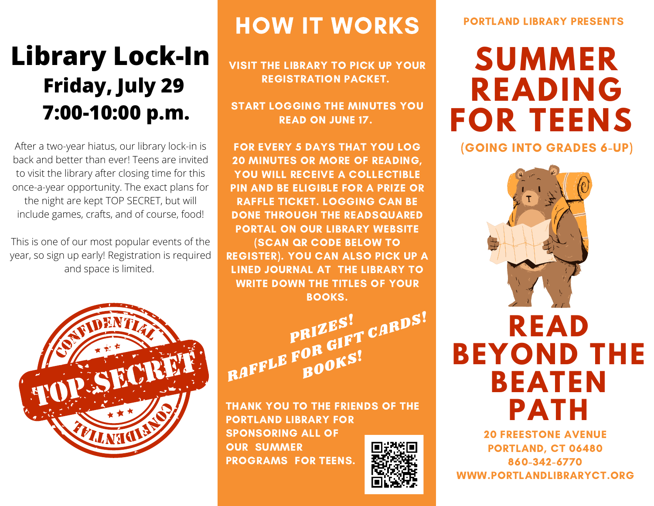## **Library Lock-In Friday, July 29 7:00-10:00 p.m.**

After a two-year hiatus, our library lock-in is back and better than ever! Teens are invited to visit the library after closing time for this once-a-year opportunity. The exact plans for the night are kept TOP SECRET, but will include games, crafts, and of course, food!

This is one of our most popular events of the year, so sign up early! Registration is required and space is limited.



## HOW IT WORKS

VISIT THE LIBRARY TO PICK UP YOUR REGISTRATION PACKET.

START LOGGING THE MINUTES YOU READ ON JUNE 17.

FOR EVERY 5 DAYS THAT YOU LOG 20 MINUTES OR MORE OF READING, YOU WILL RECEIVE A COLLECTIBLE PIN AND BE ELIGIBLE FOR A PRIZE OR RAFFLE TICKET. LOGGING CAN BE DONE THROUGH THE READSQUARED PORTAL ON OUR LIBRARY WEBSITE (SCAN QR CODE BELOW TO REGISTER). YOU CAN ALSO PICK UP A LINED JOURNAL AT THE LIBRARY TO WRITE DOWN THE TITLES OF YOUR BOOKS.

PRIZES!<br>RAFFLE FOR GIFT CARDS!

THANK YOU TO THE FRIENDS OF THE PORTLAND LIBRARY FOR SPONSORING ALL OF OUR SUMMER PROGRAMS FOR TEENS.



#### PORTLAND LIBRARY PRESENTS

# **SUMMER READING FOR TEENS**

(GOING INTO GRADES 6-UP)



**READ BEYOND THE BEATEN PATH**

20 FREESTONE AVENUE PORTLAND, CT 06480 860-342-6770 WWW.PORTLANDLIBRARYCT.ORG